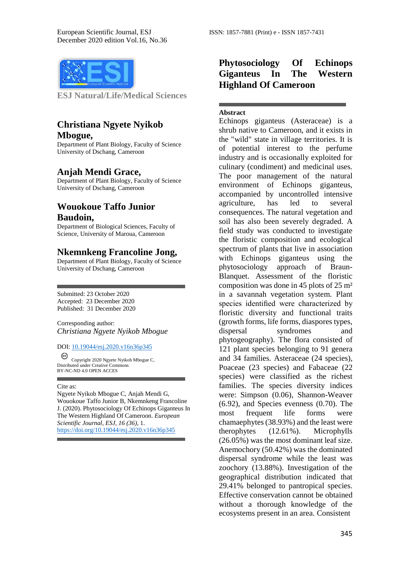

**ESJ Natural/Life/Medical Sciences** 

### **Christiana Ngyete Nyikob Mbogue,**

Department of Plant Biology, Faculty of Science University of Dschang, Cameroon

#### **Anjah Mendi Grace,**

Department of Plant Biology, Faculty of Science University of Dschang, Cameroon

### **Wouokoue Taffo Junior Baudoin,**

Department of Biological Sciences, Faculty of Science, University of Maroua, Cameroon

#### **Nkemnkeng Francoline Jong,**

Department of Plant Biology, Faculty of Science University of Dschang, Cameroon

Submitted: 23 October 2020 Accepted: 23 December 2020 Published: 31 December 2020

Corresponding author: *Christiana Ngyete Nyikob Mbogue*

DOI: 10.19044/esj.2020.v16n36p345

☺ Copyright 2020 Ngyete Nyikob Mbogue C, Distributed under Creative Commons BY-NC-ND 4.0 OPEN ACCES

#### Cite as:

Ngyete Nyikob Mbogue C, Anjah Mendi G, Wouokoue Taffo Junior B, Nkemnkeng Francoline J. (2020). Phytosociology Of Echinops Giganteus In The Western Highland Of Cameroon. *European Scientific Journal, ESJ, 16 (36)*, 1. <https://doi.org/10.19044/esj.2020.v16n36p345>

## **Phytosociology Of Echinops Giganteus In The Western Highland Of Cameroon**

#### **Abstract**

Echinops giganteus (Asteraceae) is a shrub native to Cameroon, and it exists in the "wild" state in village territories. It is of potential interest to the perfume industry and is occasionally exploited for culinary (condiment) and medicinal uses. The poor management of the natural environment of Echinops giganteus, accompanied by uncontrolled intensive agriculture, has led to several consequences. The natural vegetation and soil has also been severely degraded. A field study was conducted to investigate the floristic composition and ecological spectrum of plants that live in association with Echinops giganteus using the phytosociology approach of Braun-Blanquet. Assessment of the floristic composition was done in 45 plots of 25 m² in a savannah vegetation system. Plant species identified were characterized by floristic diversity and functional traits (growth forms, life forms, diaspores types, dispersal syndromes and phytogeography). The flora consisted of 121 plant species belonging to 91 genera and 34 families. Asteraceae (24 species), Poaceae (23 species) and Fabaceae (22 species) were classified as the richest families. The species diversity indices were: Simpson (0.06), Shannon-Weaver (6.92), and Species evenness (0.70). The most frequent life forms were chamaephytes (38.93%) and the least were therophytes (12.61%). Microphylls (26.05%) was the most dominant leaf size. Anemochory (50.42%) was the dominated dispersal syndrome while the least was zoochory (13.88%). Investigation of the geographical distribution indicated that 29.41% belonged to pantropical species. Effective conservation cannot be obtained without a thorough knowledge of the ecosystems present in an area. Consistent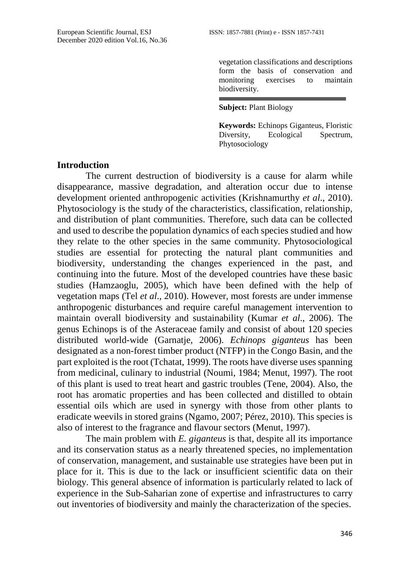vegetation classifications and descriptions form the basis of conservation and monitoring exercises to maintain biodiversity.

#### **Subject:** Plant Biology

**Keywords:** Echinops Giganteus, Floristic Diversity, Ecological Spectrum, Phytosociology

### **Introduction**

The current destruction of biodiversity is a cause for alarm while disappearance, massive degradation, and alteration occur due to intense development oriented anthropogenic activities (Krishnamurthy *et al*., 2010). Phytosociology is the study of the characteristics, classification, relationship, and distribution of plant communities. Therefore, such data can be collected and used to describe the population dynamics of each species studied and how they relate to the other species in the same community. Phytosociological studies are essential for protecting the natural plant communities and biodiversity, understanding the changes experienced in the past, and continuing into the future. Most of the developed countries have these basic studies (Hamzaoglu, 2005), which have been defined with the help of vegetation maps (Tel *et al*., 2010). However, most forests are under immense anthropogenic disturbances and require careful management intervention to maintain overall biodiversity and sustainability (Kumar *et al*., 2006). The genus Echinops is of the Asteraceae family and consist of about 120 species distributed world-wide (Garnatje, 2006). *Echinops giganteus* has been designated as a non-forest timber product (NTFP) in the Congo Basin, and the part exploited is the root (Tchatat, 1999). The roots have diverse uses spanning from medicinal, culinary to industrial (Noumi, 1984; Menut, 1997). The root of this plant is used to treat heart and gastric troubles (Tene, 2004). Also, the root has aromatic properties and has been collected and distilled to obtain essential oils which are used in synergy with those from other plants to eradicate weevils in stored grains (Ngamo, 2007; Pérez, 2010). This species is also of interest to the fragrance and flavour sectors (Menut, 1997).

The main problem with *E. giganteus* is that, despite all its importance and its conservation status as a nearly threatened species, no implementation of conservation, management, and sustainable use strategies have been put in place for it. This is due to the lack or insufficient scientific data on their biology. This general absence of information is particularly related to lack of experience in the Sub-Saharian zone of expertise and infrastructures to carry out inventories of biodiversity and mainly the characterization of the species.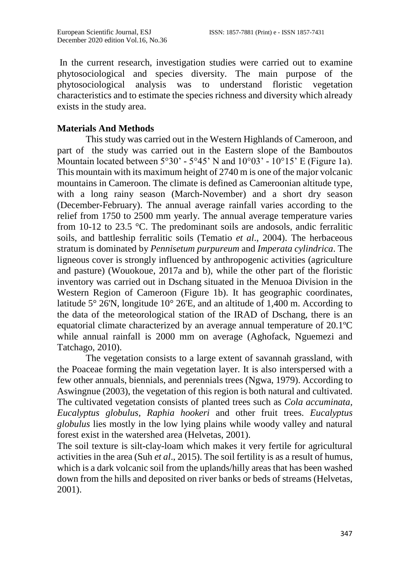In the current research, investigation studies were carried out to examine phytosociological and species diversity. The main purpose of the phytosociological analysis was to understand floristic vegetation characteristics and to estimate the species richness and diversity which already exists in the study area.

# **Materials And Methods**

This study was carried out in the Western Highlands of Cameroon, and part of the study was carried out in the Eastern slope of the Bamboutos Mountain located between  $5^{\circ}30'$  -  $5^{\circ}45'$  N and  $10^{\circ}03'$  -  $10^{\circ}15'$  E (Figure 1a). This mountain with its maximum height of 2740 m is one of the major volcanic mountains in Cameroon. The climate is defined as Cameroonian altitude type, with a long rainy season (March-November) and a short dry season (December-February). The annual average rainfall varies according to the relief from 1750 to 2500 mm yearly. The annual average temperature varies from 10-12 to 23.5 °C. The predominant soils are andosols, andic ferralitic soils, and battleship ferralitic soils (Tematio *et al*., 2004). The herbaceous stratum is dominated by *Pennisetum purpureum* and *Imperata cylindrica*. The ligneous cover is strongly influenced by anthropogenic activities (agriculture and pasture) (Wouokoue, 2017a and b), while the other part of the floristic inventory was carried out in Dschang situated in the Menuoa Division in the Western Region of Cameroon (Figure 1b). It has geographic coordinates, latitude  $5^{\circ}$  26'N, longitude 10 $^{\circ}$  26'E, and an altitude of 1,400 m. According to the data of the meteorological station of the IRAD of Dschang, there is an equatorial climate characterized by an average annual temperature of 20.1ºC while annual rainfall is 2000 mm on average (Aghofack, Nguemezi and Tatchago, 2010).

The vegetation consists to a large extent of savannah grassland, with the Poaceae forming the main vegetation layer. It is also interspersed with a few other annuals, biennials, and perennials trees (Ngwa, 1979). According to Aswingnue (2003), the vegetation of this region is both natural and cultivated. The cultivated vegetation consists of planted trees such as *Cola accuminata, Eucalyptus globulus, Raphia hookeri* and other fruit trees. *Eucalyptus globulus* lies mostly in the low lying plains while woody valley and natural forest exist in the watershed area (Helvetas, 2001).

The soil texture is silt-clay-loam which makes it very fertile for agricultural activities in the area (Suh *et al*., 2015). The soil fertility is as a result of humus, which is a dark volcanic soil from the uplands/hilly areas that has been washed down from the hills and deposited on river banks or beds of streams (Helvetas, 2001).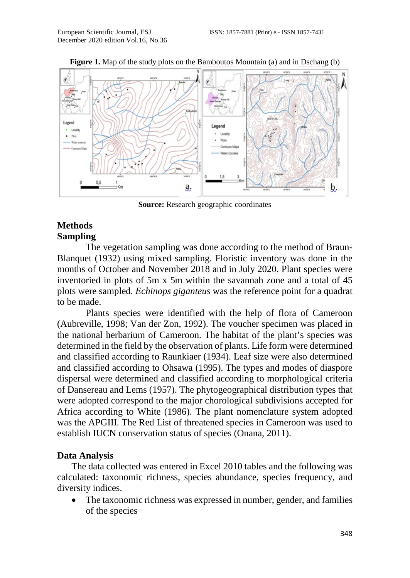

**Figure 1.** Map of the study plots on the Bamboutos Mountain (a) and in Dschang (b)

**Source:** Research geographic coordinates

# **Methods Sampling**

The vegetation sampling was done according to the method of Braun-Blanquet (1932) using mixed sampling. Floristic inventory was done in the months of October and November 2018 and in July 2020. Plant species were inventoried in plots of 5m x 5m within the savannah zone and a total of 45 plots were sampled. *Echinops giganteus* was the reference point for a quadrat to be made.

Plants species were identified with the help of flora of Cameroon (Aubreville, 1998; Van der Zon, 1992). The voucher specimen was placed in the national herbarium of Cameroon. The habitat of the plant's species was determined in the field by the observation of plants. Life form were determined and classified according to Raunkiaer (1934). Leaf size were also determined and classified according to Ohsawa (1995). The types and modes of diaspore dispersal were determined and classified according to morphological criteria of Dansereau and Lems (1957). The phytogeographical distribution types that were adopted correspond to the major chorological subdivisions accepted for Africa according to White (1986). The plant nomenclature system adopted was the APGIII. The Red List of threatened species in Cameroon was used to establish IUCN conservation status of species (Onana, 2011).

# **Data Analysis**

The data collected was entered in Excel 2010 tables and the following was calculated: taxonomic richness, species abundance, species frequency, and diversity indices.

• The taxonomic richness was expressed in number, gender, and families of the species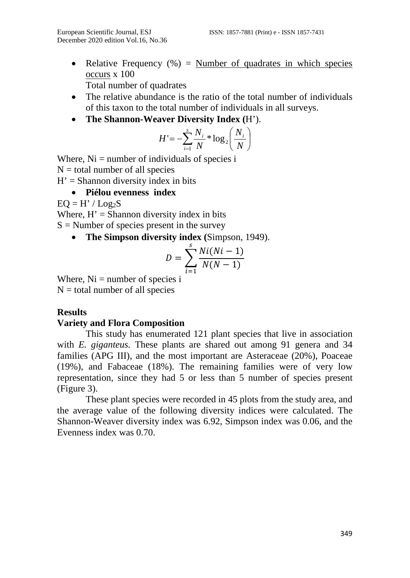• Relative Frequency  $(\%)$  = Number of quadrates in which species occurs x 100 Total number of quadrates

- The relative abundance is the ratio of the total number of individuals of this taxon to the total number of individuals in all surveys.
- **The Shannon-Weaver Diversity Index (**H').

$$
H' = -\sum_{i=1}^{s} \frac{N_i}{N} * \log_2\left(\frac{N_i}{N}\right)
$$

Where,  $Ni =$  number of individuals of species i

- $N =$  total number of all species
- $H' =$ Shannon diversity index in bits

# • **Piélou evenness index**

 $EO = H'/Log<sub>2</sub>S$ 

Where,  $H' =$  Shannon diversity index in bits

 $S =$  Number of species present in the survey

• **The Simpson diversity index (**Simpson, 1949).

$$
D = \sum_{i=1}^{s} \frac{Ni(Ni-1)}{N(N-1)}
$$

Where,  $Ni =$  number of species i  $N =$  total number of all species

# **Results**

# **Variety and Flora Composition**

This study has enumerated 121 plant species that live in association with *E. giganteus.* These plants are shared out among 91 genera and 34 families (APG III), and the most important are Asteraceae (20%), Poaceae (19%), and Fabaceae (18%). The remaining families were of very low representation, since they had 5 or less than 5 number of species present (Figure 3).

These plant species were recorded in 45 plots from the study area, and the average value of the following diversity indices were calculated. The Shannon-Weaver diversity index was 6.92, Simpson index was 0.06, and the Evenness index was 0.70.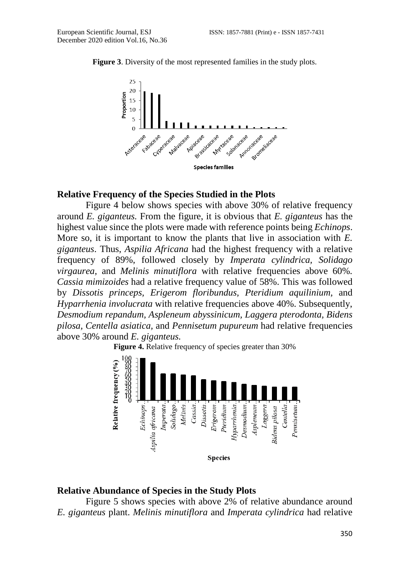

**Figure 3**. Diversity of the most represented families in the study plots.

### **Relative Frequency of the Species Studied in the Plots**

Figure 4 below shows species with above 30% of relative frequency around *E. giganteus.* From the figure, it is obvious that *E. giganteus* has the highest value since the plots were made with reference points being *Echinops*. More so, it is important to know the plants that live in association with *E. giganteus*. Thus, *Aspilia Africana* had the highest frequency with a relative frequency of 89%*,* followed closely by *Imperata cylindrica, Solidago virgaurea,* and *Melinis minutiflora* with relative frequencies above 60%*. Cassia mimizoides* had a relative frequency value of 58%. This was followed by *Dissotis princeps, Erigerom floribundus, Pteridium aquilinium,* and *Hyparrhenia involucrata* with relative frequencies above 40%. Subsequently, *Desmodium repandum, Aspleneum abyssinicum, Laggera pterodonta, Bidens pilosa, Centella asiatica,* and *Pennisetum pupureum* had relative frequencies above 30% around *E. giganteus.*

**Figure 4.** Relative frequency of species greater than 30%



### **Relative Abundance of Species in the Study Plots**

Figure 5 shows species with above 2% of relative abundance around *E. giganteus* plant. *Melinis minutiflora* and *Imperata cylindrica* had relative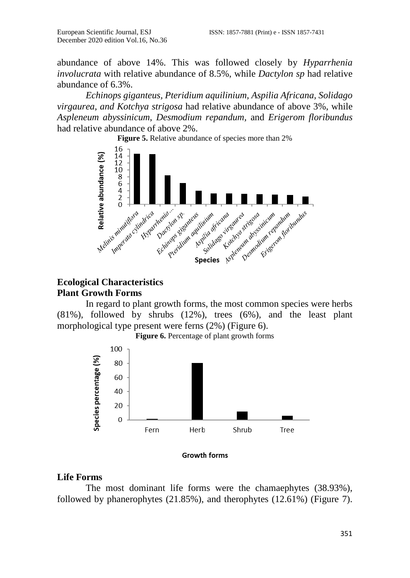abundance of above 14%. This was followed closely by *Hyparrhenia involucrata* with relative abundance of 8.5%, while *Dactylon sp* had relative abundance of 6.3%.

*Echinops giganteus, Pteridium aquilinium, Aspilia Africana, Solidago virgaurea, and Kotchya strigosa* had relative abundance of above 3%, while *Aspleneum abyssinicum*, *Desmodium repandum,* and *Erigerom floribundus* had relative abundance of above 2%.



# **Ecological Characteristics Plant Growth Forms**

In regard to plant growth forms, the most common species were herbs (81%), followed by shrubs (12%), trees (6%), and the least plant morphological type present were ferns (2%) (Figure 6).



**Figure 6.** Percentage of plant growth forms

**Growth forms** 

### **Life Forms**

The most dominant life forms were the chamaephytes (38.93%), followed by phanerophytes (21.85%), and therophytes (12.61%) (Figure 7).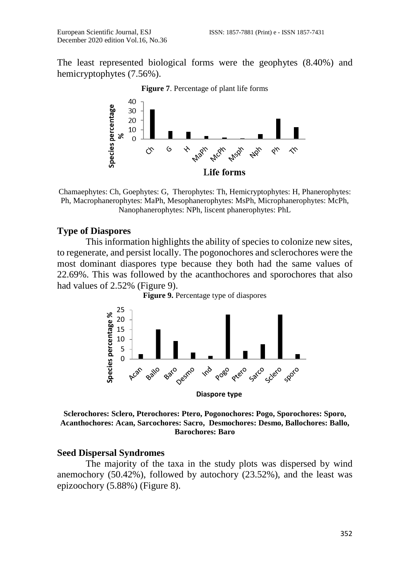The least represented biological forms were the geophytes (8.40%) and hemicryptophytes (7.56%).



**Figure 7**. Percentage of plant life forms

Chamaephytes: Ch, Goephytes: G, Therophytes: Th, Hemicryptophytes: H, Phanerophytes: Ph, Macrophanerophytes: MaPh, Mesophanerophytes: MsPh, Microphanerophytes: McPh, Nanophanerophytes: NPh, liscent phanerophytes: PhL

#### **Type of Diaspores**

This information highlights the ability of species to colonize new sites, to regenerate, and persist locally. The pogonochores and sclerochores were the most dominant diaspores type because they both had the same values of 22.69%. This was followed by the acanthochores and sporochores that also had values of 2.52% (Figure 9).





**Sclerochores: Sclero, Pterochores: Ptero, Pogonochores: Pogo, Sporochores: Sporo, Acanthochores: Acan, Sarcochores: Sacro, Desmochores: Desmo, Ballochores: Ballo, Barochores: Baro**

### **Seed Dispersal Syndromes**

The majority of the taxa in the study plots was dispersed by wind anemochory (50.42%), followed by autochory (23.52%), and the least was epizoochory (5.88%) (Figure 8).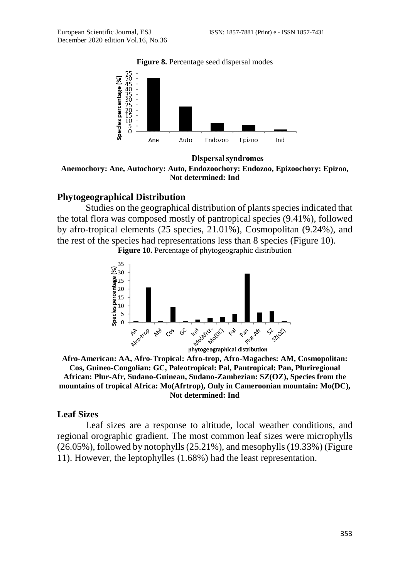**Figure 8.** Percentage seed dispersal modes



Dispersal syndromes **Anemochory: Ane, Autochory: Auto, Endozoochory: Endozoo, Epizoochory: Epizoo, Not determined: Ind**

### **Phytogeographical Distribution**

Studies on the geographical distribution of plants species indicated that the total flora was composed mostly of pantropical species (9.41%), followed by afro-tropical elements (25 species, 21.01%), Cosmopolitan (9.24%), and the rest of the species had representations less than 8 species (Figure 10).

**Figure 10.** Percentage of phytogeographic distribution



**Afro-American: AA, Afro-Tropical: Afro-trop, Afro-Magaches: AM, Cosmopolitan: Cos, Guineo-Congolian: GC, Paleotropical: Pal, Pantropical: Pan, Pluriregional African: Plur-Afr, Sudano-Guinean, Sudano-Zambezian: SZ(OZ), Species from the mountains of tropical Africa: Mo(Afrtrop), Only in Cameroonian mountain: Mo(DC), Not determined: Ind**

### **Leaf Sizes**

Leaf sizes are a response to altitude, local weather conditions, and regional orographic gradient. The most common leaf sizes were microphylls (26.05%), followed by notophylls (25.21%), and mesophylls (19.33%) (Figure 11). However, the leptophylles (1.68%) had the least representation.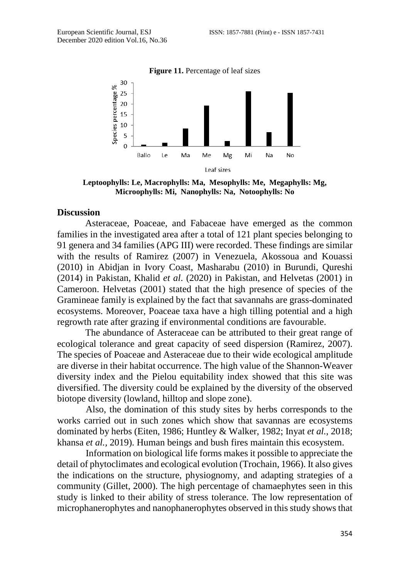

**Leptoophylls: Le, Macrophylls: Ma, Mesophylls: Me, Megaphylls: Mg, Microophylls: Mi, Nanophylls: Na, Notoophylls: No**

### **Discussion**

Asteraceae, Poaceae, and Fabaceae have emerged as the common families in the investigated area after a total of 121 plant species belonging to 91 genera and 34 families (APG III) were recorded. These findings are similar with the results of Ramirez (2007) in Venezuela, Akossoua and Kouassi (2010) in Abidjan in Ivory Coast, Masharabu (2010) in Burundi, Qureshi (2014) in Pakistan, Khalid *et al*. (2020) in Pakistan, and Helvetas (2001) in Cameroon. Helvetas (2001) stated that the high presence of species of the Gramineae family is explained by the fact that savannahs are grass-dominated ecosystems. Moreover, Poaceae taxa have a high tilling potential and a high regrowth rate after grazing if environmental conditions are favourable.

The abundance of Asteraceae can be attributed to their great range of ecological tolerance and great capacity of seed dispersion (Ramirez, 2007). The species of Poaceae and Asteraceae due to their wide ecological amplitude are diverse in their habitat occurrence. The high value of the Shannon-Weaver diversity index and the Pielou equitability index showed that this site was diversified. The diversity could be explained by the diversity of the observed biotope diversity (lowland, hilltop and slope zone).

Also, the domination of this study sites by herbs corresponds to the works carried out in such zones which show that savannas are ecosystems dominated by herbs (Eiten, 1986; Huntley & Walker, 1982; Inyat *et al.*, 2018; khansa *et al.,* 2019). Human beings and bush fires maintain this ecosystem.

Information on biological life forms makes it possible to appreciate the detail of phytoclimates and ecological evolution (Trochain, 1966). It also gives the indications on the structure, physiognomy, and adapting strategies of a community (Gillet, 2000). The high percentage of chamaephytes seen in this study is linked to their ability of stress tolerance. The low representation of microphanerophytes and nanophanerophytes observed in this study shows that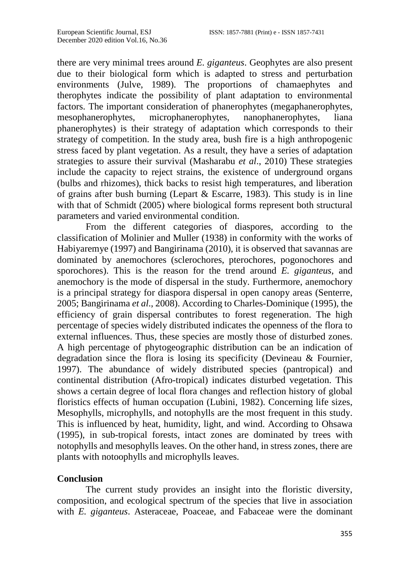there are very minimal trees around *E. giganteus*. Geophytes are also present due to their biological form which is adapted to stress and perturbation environments (Julve, 1989). The proportions of chamaephytes and therophytes indicate the possibility of plant adaptation to environmental factors. The important consideration of phanerophytes (megaphanerophytes, mesophanerophytes, microphanerophytes, nanophanerophytes, liana phanerophytes) is their strategy of adaptation which corresponds to their strategy of competition. In the study area, bush fire is a high anthropogenic stress faced by plant vegetation. As a result, they have a series of adaptation strategies to assure their survival (Masharabu *et al*., 2010) These strategies include the capacity to reject strains, the existence of underground organs (bulbs and rhizomes), thick backs to resist high temperatures, and liberation of grains after bush burning (Lepart  $\&$  Escarre, 1983). This study is in line with that of Schmidt (2005) where biological forms represent both structural parameters and varied environmental condition.

From the different categories of diaspores, according to the classification of Molinier and Muller (1938) in conformity with the works of Habiyaremye (1997) and Bangirinama (2010), it is observed that savannas are dominated by anemochores (sclerochores, pterochores, pogonochores and sporochores). This is the reason for the trend around *E. giganteus*, and anemochory is the mode of dispersal in the study. Furthermore, anemochory is a principal strategy for diaspora dispersal in open canopy areas (Senterre, 2005; Bangirinama *et al*., 2008). According to Charles-Dominique (1995), the efficiency of grain dispersal contributes to forest regeneration. The high percentage of species widely distributed indicates the openness of the flora to external influences. Thus, these species are mostly those of disturbed zones. A high percentage of phytogeographic distribution can be an indication of degradation since the flora is losing its specificity (Devineau & Fournier, 1997). The abundance of widely distributed species (pantropical) and continental distribution (Afro-tropical) indicates disturbed vegetation. This shows a certain degree of local flora changes and reflection history of global floristics effects of human occupation (Lubini, 1982). Concerning life sizes, Mesophylls, microphylls, and notophylls are the most frequent in this study. This is influenced by heat, humidity, light, and wind. According to Ohsawa (1995), in sub-tropical forests, intact zones are dominated by trees with notophylls and mesophylls leaves. On the other hand, in stress zones, there are plants with notoophylls and microphylls leaves.

### **Conclusion**

The current study provides an insight into the floristic diversity, composition, and ecological spectrum of the species that live in association with *E. giganteus*. Asteraceae, Poaceae, and Fabaceae were the dominant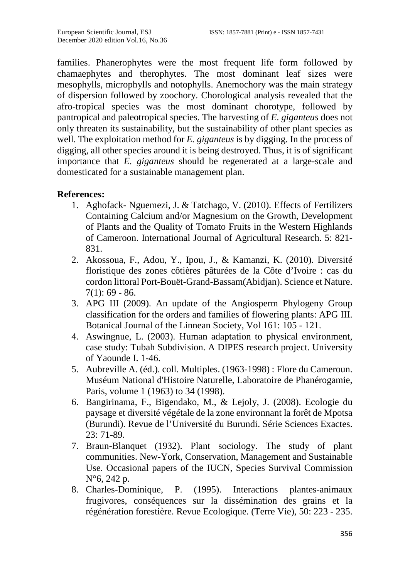families. Phanerophytes were the most frequent life form followed by chamaephytes and therophytes. The most dominant leaf sizes were mesophylls, microphylls and notophylls. Anemochory was the main strategy of dispersion followed by zoochory. Chorological analysis revealed that the afro-tropical species was the most dominant chorotype, followed by pantropical and paleotropical species. The harvesting of *E. giganteus* does not only threaten its sustainability, but the sustainability of other plant species as well. The exploitation method for *E. giganteus* is by digging. In the process of digging, all other species around it is being destroyed. Thus, it is of significant importance that *E. giganteus* should be regenerated at a large-scale and domesticated for a sustainable management plan.

### **References:**

- 1. Aghofack- Nguemezi, J. & Tatchago, V. (2010). Effects of Fertilizers Containing Calcium and/or Magnesium on the Growth, Development of Plants and the Quality of Tomato Fruits in the Western Highlands of Cameroon. International Journal of Agricultural Research. 5: 821- 831.
- 2. Akossoua, F., Adou, Y., Ipou, J., & Kamanzi, K. (2010). Diversité floristique des zones côtières pâturées de la Côte d'Ivoire : cas du cordon littoral Port-Bouët-Grand-Bassam(Abidjan). Science et Nature.  $7(1): 69 - 86.$
- 3. APG III (2009). An update of the Angiosperm Phylogeny Group classification for the orders and families of flowering plants: APG III. Botanical Journal of the Linnean Society, Vol 161: 105 - 121.
- 4. Aswingnue, L. (2003). Human adaptation to physical environment, case study: Tubah Subdivision. A DIPES research project. University of Yaounde I. 1-46.
- 5. Aubreville A. (éd.). coll. Multiples. (1963-1998) : Flore du Cameroun. Muséum National d'Histoire Naturelle, Laboratoire de Phanérogamie, Paris, volume 1 (1963) to 34 (1998).
- 6. Bangirinama, F., Bigendako, M., & Lejoly, J. (2008). Ecologie du paysage et diversité végétale de la zone environnant la forêt de Mpotsa (Burundi). Revue de l'Université du Burundi. Série Sciences Exactes. 23: 71-89.
- 7. Braun-Blanquet (1932). Plant sociology. The study of plant communities. New-York, Conservation, Management and Sustainable Use. Occasional papers of the IUCN, Species Survival Commission N°6, 242 p.
- 8. Charles-Dominique, P. (1995). Interactions plantes-animaux frugivores, conséquences sur la dissémination des grains et la régénération forestière. Revue Ecologique. (Terre Vie), 50: 223 - 235.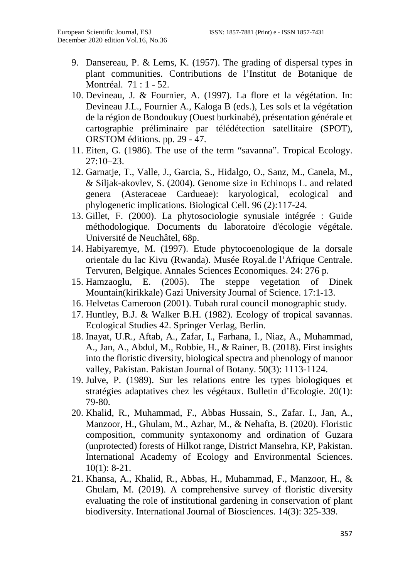- 9. Dansereau, P. & Lems, K. (1957). The grading of dispersal types in plant communities. Contributions de l'Institut de Botanique de Montréal. 71 : 1 - 52.
- 10. Devineau, J. & Fournier, A. (1997). La flore et la végétation. In: Devineau J.L., Fournier A., Kaloga B (eds.), Les sols et la végétation de la région de Bondoukuy (Ouest burkinabé), présentation générale et cartographie préliminaire par télédétection satellitaire (SPOT), ORSTOM éditions. pp. 29 - 47.
- 11. Eiten, G. (1986). The use of the term "savanna". Tropical Ecology. 27:10–23.
- 12. Garnatje, T., Valle, J., Garcia, S., Hidalgo, O., Sanz, M., Canela, M., & Siljak-akovlev, S. (2004). Genome size in Echinops L. and related genera (Asteraceae Cardueae): karyological, ecological and phylogenetic implications. Biological Cell. 96 (2):117-24.
- 13. Gillet, F. (2000). La phytosociologie synusiale intégrée : Guide méthodologique. Documents du laboratoire d'écologie végétale. Université de Neuchâtel, 68p.
- 14. Habiyaremye, M. (1997). Etude phytocoenologique de la dorsale orientale du lac Kivu (Rwanda). Musée Royal.de l'Afrique Centrale. Tervuren, Belgique. Annales Sciences Economiques. 24: 276 p.
- 15. Hamzaoglu, E. (2005). The steppe vegetation of Dinek Mountain(kirikkale) Gazi University Journal of Science. 17:1-13.
- 16. Helvetas Cameroon (2001). Tubah rural council monographic study.
- 17. Huntley, B.J. & Walker B.H. (1982). Ecology of tropical savannas. Ecological Studies 42. Springer Verlag, Berlin.
- 18. Inayat, U.R., Aftab, A., Zafar, I., Farhana, I., Niaz, A., Muhammad, A., Jan, A., Abdul, M., Robbie, H., & Rainer, B. (2018). First insights into the floristic diversity, biological spectra and phenology of manoor valley, Pakistan. Pakistan Journal of Botany. 50(3): 1113-1124.
- 19. Julve, P. (1989). Sur les relations entre les types biologiques et stratégies adaptatives chez les végétaux. Bulletin d'Ecologie. 20(1): 79-80.
- 20. Khalid, R., Muhammad, F., Abbas Hussain, S., Zafar. I., Jan, A., Manzoor, H., Ghulam, M., Azhar, M., & Nehafta, B. (2020). Floristic composition, community syntaxonomy and ordination of Guzara (unprotected) forests of Hilkot range, District Mansehra, KP, Pakistan. International Academy of Ecology and Environmental Sciences. 10(1): 8-21.
- 21. Khansa, A., Khalid, R., Abbas, H., Muhammad, F., Manzoor, H., & Ghulam, M. (2019). A comprehensive survey of floristic diversity evaluating the role of institutional gardening in conservation of plant biodiversity. International Journal of Biosciences. 14(3): 325-339.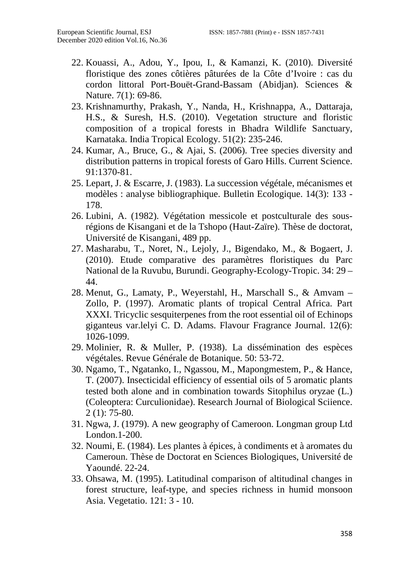- 22. Kouassi, A., Adou, Y., Ipou, I., & Kamanzi, K. (2010). Diversité floristique des zones côtières pâturées de la Côte d'Ivoire : cas du cordon littoral Port-Bouët-Grand-Bassam (Abidjan). Sciences & Nature. 7(1): 69-86.
- 23. Krishnamurthy, Prakash, Y., Nanda, H., Krishnappa, A., Dattaraja, H.S., & Suresh, H.S. (2010). Vegetation structure and floristic composition of a tropical forests in Bhadra Wildlife Sanctuary, Karnataka. India Tropical Ecology. 51(2): 235-246.
- 24. Kumar, A., Bruce, G., & Ajai, S. (2006). Tree species diversity and distribution patterns in tropical forests of Garo Hills. Current Science. 91:1370-81.
- 25. Lepart, J. & Escarre, J. (1983). La succession végétale, mécanismes et modèles : analyse bibliographique. Bulletin Ecologique. 14(3): 133 - 178.
- 26. Lubini, A. (1982). Végétation messicole et postculturale des sousrégions de Kisangani et de la Tshopo (Haut-Zaïre). Thèse de doctorat, Université de Kisangani, 489 pp.
- 27. Masharabu, T., Noret, N., Lejoly, J., Bigendako, M., & Bogaert, J. (2010). Etude comparative des paramètres floristiques du Parc National de la Ruvubu, Burundi. Geography-Ecology-Tropic. 34: 29 – 44.
- 28. Menut, G., Lamaty, P., Weyerstahl, H., Marschall S., & Amvam Zollo, P. (1997). Aromatic plants of tropical Central Africa. Part XXXI. Tricyclic sesquiterpenes from the root essential oil of Echinops giganteus var.lelyi C. D. Adams. Flavour Fragrance Journal. 12(6): 1026-1099.
- 29. Molinier, R. & Muller, P. (1938). La dissémination des espèces végétales. Revue Générale de Botanique. 50: 53-72.
- 30. Ngamo, T., Ngatanko, I., Ngassou, M., Mapongmestem, P., & Hance, T. (2007). Insecticidal efficiency of essential oils of 5 aromatic plants tested both alone and in combination towards Sitophilus oryzae (L.) (Coleoptera: Curculionidae). Research Journal of Biological Sciience. 2 (1): 75-80.
- 31. Ngwa, J. (1979). A new geography of Cameroon. Longman group Ltd London.1-200.
- 32. Noumi, E. (1984). Les plantes à épices, à condiments et à aromates du Cameroun. Thèse de Doctorat en Sciences Biologiques, Université de Yaoundé. 22-24.
- 33. Ohsawa, M. (1995). Latitudinal comparison of altitudinal changes in forest structure, leaf-type, and species richness in humid monsoon Asia. Vegetatio. 121: 3 - 10.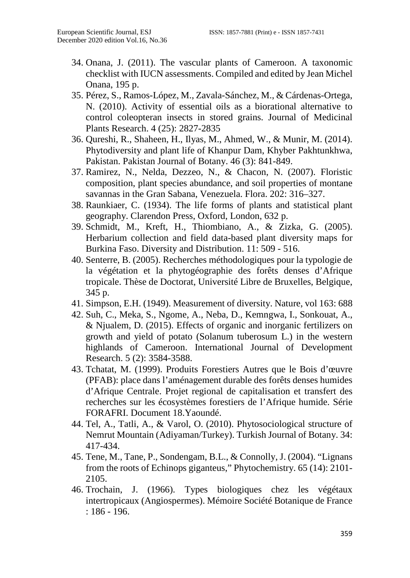- 34. Onana, J. (2011). The vascular plants of Cameroon. A taxonomic checklist with IUCN assessments. Compiled and edited by Jean Michel Onana, 195 p.
- 35. Pérez, S., Ramos-López, M., Zavala-Sánchez, M., & Cárdenas-Ortega, N. (2010). Activity of essential oils as a biorational alternative to control coleopteran insects in stored grains. Journal of Medicinal Plants Research. 4 (25): 2827-2835
- 36. Qureshi, R., Shaheen, H., Ilyas, M., Ahmed, W., & Munir, M. (2014). Phytodiversity and plant life of Khanpur Dam, Khyber Pakhtunkhwa, Pakistan. Pakistan Journal of Botany. 46 (3): 841-849.
- 37. Ramirez, N., Nelda, Dezzeo, N., & Chacon, N. (2007). Floristic composition, plant species abundance, and soil properties of montane savannas in the Gran Sabana, Venezuela. Flora. 202: 316–327.
- 38. Raunkiaer, C. (1934). The life forms of plants and statistical plant geography. Clarendon Press, Oxford, London, 632 p.
- 39. Schmidt, M., Kreft, H., Thiombiano, A., & Zizka, G. (2005). Herbarium collection and field data-based plant diversity maps for Burkina Faso. Diversity and Distribution. 11: 509 - 516.
- 40. Senterre, B. (2005). Recherches méthodologiques pour la typologie de la végétation et la phytogéographie des forêts denses d'Afrique tropicale. Thèse de Doctorat, Université Libre de Bruxelles, Belgique, 345 p.
- 41. Simpson, E.H. (1949). Measurement of diversity. Nature, vol 163: 688
- 42. Suh, C., Meka, S., Ngome, A., Neba, D., Kemngwa, I., Sonkouat, A., & Njualem, D. (2015). Effects of organic and inorganic fertilizers on growth and yield of potato (Solanum tuberosum L.) in the western highlands of Cameroon. International Journal of Development Research. 5 (2): 3584-3588.
- 43. Tchatat, M. (1999). Produits Forestiers Autres que le Bois d'œuvre (PFAB): place dans l'aménagement durable des forêts denses humides d'Afrique Centrale. Projet regional de capitalisation et transfert des recherches sur les écosystèmes forestiers de l'Afrique humide. Série FORAFRI. Document 18.Yaoundé.
- 44. Tel, A., Tatli, A., & Varol, O. (2010). Phytosociological structure of Nemrut Mountain (Adiyaman/Turkey). Turkish Journal of Botany. 34: 417-434.
- 45. Tene, M., Tane, P., Sondengam, B.L., & Connolly, J. (2004). "Lignans from the roots of Echinops giganteus," Phytochemistry. 65 (14): 2101- 2105.
- 46. Trochain, J. (1966). Types biologiques chez les végétaux intertropicaux (Angiospermes). Mémoire Société Botanique de France : 186 - 196.